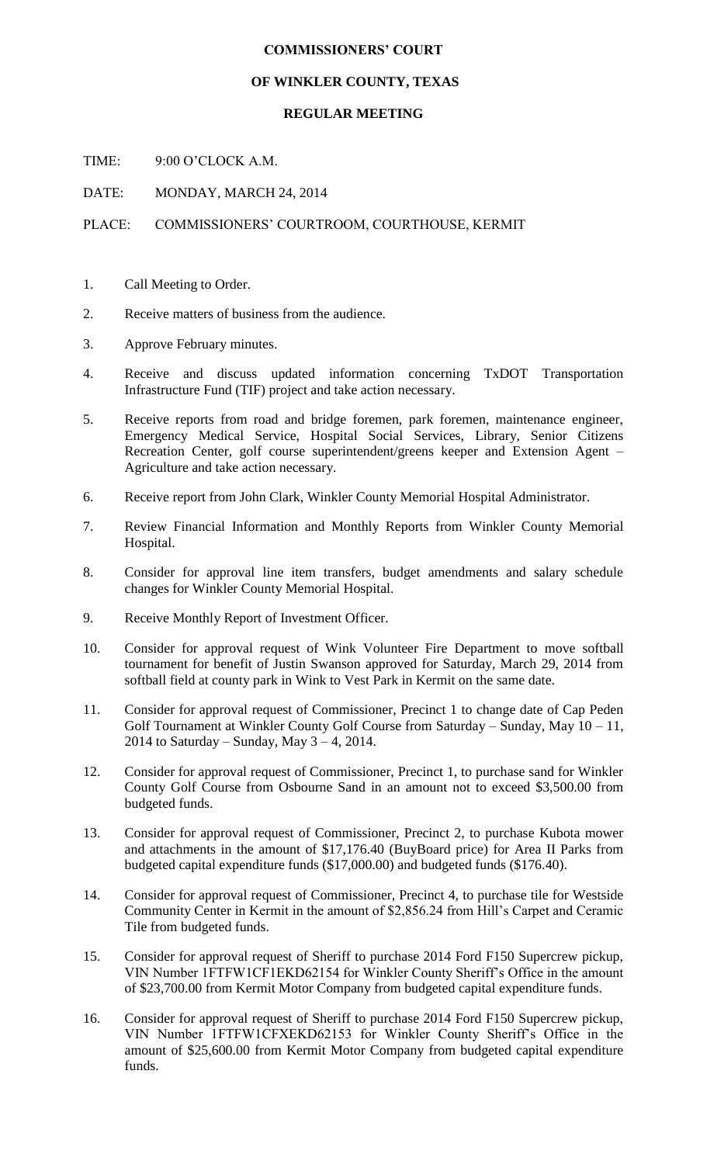## **COMMISSIONERS' COURT**

## **OF WINKLER COUNTY, TEXAS**

## **REGULAR MEETING**

TIME: 9:00 O'CLOCK A.M.

DATE: MONDAY, MARCH 24, 2014

## PLACE: COMMISSIONERS' COURTROOM, COURTHOUSE, KERMIT

- 1. Call Meeting to Order.
- 2. Receive matters of business from the audience.
- 3. Approve February minutes.
- 4. Receive and discuss updated information concerning TxDOT Transportation Infrastructure Fund (TIF) project and take action necessary.
- 5. Receive reports from road and bridge foremen, park foremen, maintenance engineer, Emergency Medical Service, Hospital Social Services, Library, Senior Citizens Recreation Center, golf course superintendent/greens keeper and Extension Agent – Agriculture and take action necessary.
- 6. Receive report from John Clark, Winkler County Memorial Hospital Administrator.
- 7. Review Financial Information and Monthly Reports from Winkler County Memorial Hospital.
- 8. Consider for approval line item transfers, budget amendments and salary schedule changes for Winkler County Memorial Hospital.
- 9. Receive Monthly Report of Investment Officer.
- 10. Consider for approval request of Wink Volunteer Fire Department to move softball tournament for benefit of Justin Swanson approved for Saturday, March 29, 2014 from softball field at county park in Wink to Vest Park in Kermit on the same date.
- 11. Consider for approval request of Commissioner, Precinct 1 to change date of Cap Peden Golf Tournament at Winkler County Golf Course from Saturday – Sunday, May  $10 - 11$ , 2014 to Saturday – Sunday, May  $3 - 4$ , 2014.
- 12. Consider for approval request of Commissioner, Precinct 1, to purchase sand for Winkler County Golf Course from Osbourne Sand in an amount not to exceed \$3,500.00 from budgeted funds.
- 13. Consider for approval request of Commissioner, Precinct 2, to purchase Kubota mower and attachments in the amount of \$17,176.40 (BuyBoard price) for Area II Parks from budgeted capital expenditure funds (\$17,000.00) and budgeted funds (\$176.40).
- 14. Consider for approval request of Commissioner, Precinct 4, to purchase tile for Westside Community Center in Kermit in the amount of \$2,856.24 from Hill's Carpet and Ceramic Tile from budgeted funds.
- 15. Consider for approval request of Sheriff to purchase 2014 Ford F150 Supercrew pickup, VIN Number 1FTFW1CF1EKD62154 for Winkler County Sheriff's Office in the amount of \$23,700.00 from Kermit Motor Company from budgeted capital expenditure funds.
- 16. Consider for approval request of Sheriff to purchase 2014 Ford F150 Supercrew pickup, VIN Number 1FTFW1CFXEKD62153 for Winkler County Sheriff's Office in the amount of \$25,600.00 from Kermit Motor Company from budgeted capital expenditure funds.